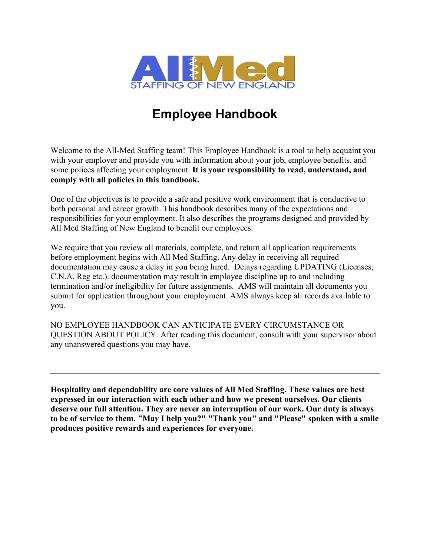

# **Employee Handbook**

Welcome to the All-Med Staffing team! This Employee Handbook is a tool to help acquaint you with your employer and provide you with information about your job, employee benefits, and some polices affecting your employment. **It is your responsibility to read, understand, and comply with all policies in this handbook.** 

One of the objectives is to provide a safe and positive work environment that is conductive to both personal and career growth. This handbook describes many of the expectations and responsibilities for your employment. It also describes the programs designed and provided by All Med Staffing of New England to benefit our employees.

We require that you review all materials, complete, and return all application requirements before employment begins with All Med Staffing. Any delay in receiving all required documentation may cause a delay in you being hired. Delays regarding UPDATING (Licenses, C.N.A. Reg etc.). documentation may result in employee discipline up to and including termination and/or ineligibility for future assignments. AMS will maintain all documents you submit for application throughout your employment. AMS always keep all records available to you.

NO EMPLOYEE HANDBOOK CAN ANTICIPATE EVERY CIRCUMSTANCE OR QUESTION ABOUT POLICY. After reading this document, consult with your supervisor about any unanswered questions you may have.

**Hospitality and dependability are core values of All Med Staffing. These values are best expressed in our interaction with each other and how we present ourselves. Our clients deserve our full attention. They are never an interruption of our work. Our duty is always to be of service to them. "May I help you?" "Thank you" and "Please" spoken with a smile produces positive rewards and experiences for everyone.**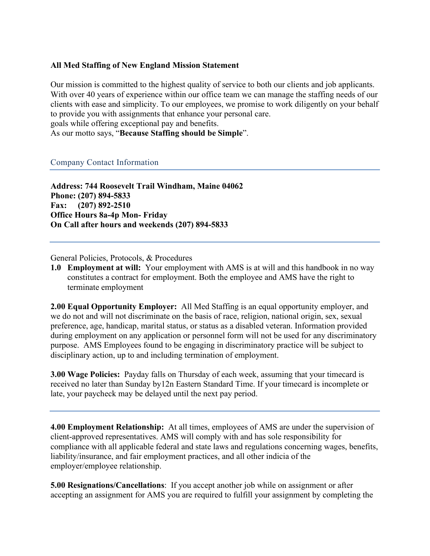# **All Med Staffing of New England Mission Statement**

Our mission is committed to the highest quality of service to both our clients and job applicants. With over 40 years of experience within our office team we can manage the staffing needs of our clients with ease and simplicity. To our employees, we promise to work diligently on your behalf to provide you with assignments that enhance your personal care.

goals while offering exceptional pay and benefits.

As our motto says, "**Because Staffing should be Simple**".

Company Contact Information

**Address: 744 Roosevelt Trail Windham, Maine 04062 Phone: (207) 894-5833 Fax: (207) 892-2510 Office Hours 8a-4p Mon- Friday On Call after hours and weekends (207) 894-5833**

General Policies, Protocols, & Procedures

**1.0 Employment at will:** Your employment with AMS is at will and this handbook in no way constitutes a contract for employment. Both the employee and AMS have the right to terminate employment

**2.00 Equal Opportunity Employer:** All Med Staffing is an equal opportunity employer, and we do not and will not discriminate on the basis of race, religion, national origin, sex, sexual preference, age, handicap, marital status, or status as a disabled veteran. Information provided during employment on any application or personnel form will not be used for any discriminatory purpose. AMS Employees found to be engaging in discriminatory practice will be subject to disciplinary action, up to and including termination of employment.

**3.00 Wage Policies:** Payday falls on Thursday of each week, assuming that your timecard is received no later than Sunday by12n Eastern Standard Time. If your timecard is incomplete or late, your paycheck may be delayed until the next pay period.

**4.00 Employment Relationship:** At all times, employees of AMS are under the supervision of client-approved representatives. AMS will comply with and has sole responsibility for compliance with all applicable federal and state laws and regulations concerning wages, benefits, liability/insurance, and fair employment practices, and all other indicia of the employer/employee relationship.

**5.00 Resignations/Cancellations**: If you accept another job while on assignment or after accepting an assignment for AMS you are required to fulfill your assignment by completing the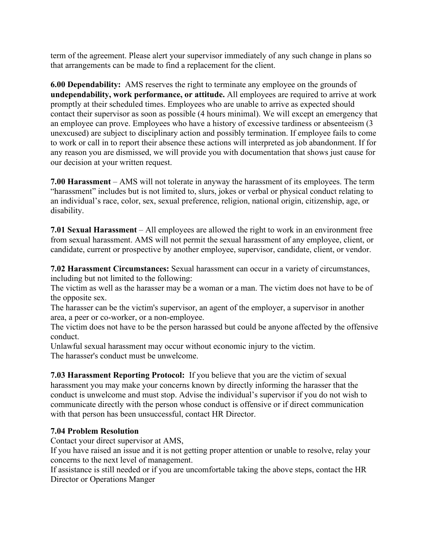term of the agreement. Please alert your supervisor immediately of any such change in plans so that arrangements can be made to find a replacement for the client.

**6.00 Dependability:** AMS reserves the right to terminate any employee on the grounds of **undependability, work performance, or attitude.** All employees are required to arrive at work promptly at their scheduled times. Employees who are unable to arrive as expected should contact their supervisor as soon as possible (4 hours minimal). We will except an emergency that an employee can prove. Employees who have a history of excessive tardiness or absenteeism (3 unexcused) are subject to disciplinary action and possibly termination. If employee fails to come to work or call in to report their absence these actions will interpreted as job abandonment. If for any reason you are dismissed, we will provide you with documentation that shows just cause for our decision at your written request.

**7.00 Harassment** – AMS will not tolerate in anyway the harassment of its employees. The term "harassment" includes but is not limited to, slurs, jokes or verbal or physical conduct relating to an individual's race, color, sex, sexual preference, religion, national origin, citizenship, age, or disability.

**7.01 Sexual Harassment** – All employees are allowed the right to work in an environment free from sexual harassment. AMS will not permit the sexual harassment of any employee, client, or candidate, current or prospective by another employee, supervisor, candidate, client, or vendor.

**7.02 Harassment Circumstances:** Sexual harassment can occur in a variety of circumstances, including but not limited to the following:

The victim as well as the harasser may be a woman or a man. The victim does not have to be of the opposite sex.

The harasser can be the victim's supervisor, an agent of the employer, a supervisor in another area, a peer or co-worker, or a non-employee.

The victim does not have to be the person harassed but could be anyone affected by the offensive conduct.

Unlawful sexual harassment may occur without economic injury to the victim. The harasser's conduct must be unwelcome.

**7.03 Harassment Reporting Protocol:** If you believe that you are the victim of sexual harassment you may make your concerns known by directly informing the harasser that the conduct is unwelcome and must stop. Advise the individual's supervisor if you do not wish to communicate directly with the person whose conduct is offensive or if direct communication with that person has been unsuccessful, contact HR Director.

# **7.04 Problem Resolution**

Contact your direct supervisor at AMS,

If you have raised an issue and it is not getting proper attention or unable to resolve, relay your concerns to the next level of management.

If assistance is still needed or if you are uncomfortable taking the above steps, contact the HR Director or Operations Manger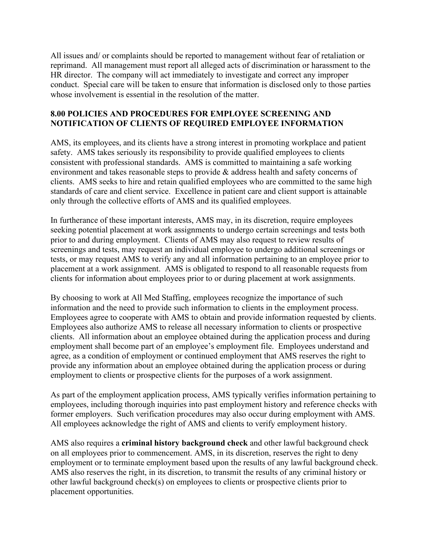All issues and/ or complaints should be reported to management without fear of retaliation or reprimand. All management must report all alleged acts of discrimination or harassment to the HR director. The company will act immediately to investigate and correct any improper conduct. Special care will be taken to ensure that information is disclosed only to those parties whose involvement is essential in the resolution of the matter.

# **8.00 POLICIES AND PROCEDURES FOR EMPLOYEE SCREENING AND NOTIFICATION OF CLIENTS OF REQUIRED EMPLOYEE INFORMATION**

AMS, its employees, and its clients have a strong interest in promoting workplace and patient safety. AMS takes seriously its responsibility to provide qualified employees to clients consistent with professional standards. AMS is committed to maintaining a safe working environment and takes reasonable steps to provide & address health and safety concerns of clients. AMS seeks to hire and retain qualified employees who are committed to the same high standards of care and client service. Excellence in patient care and client support is attainable only through the collective efforts of AMS and its qualified employees.

In furtherance of these important interests, AMS may, in its discretion, require employees seeking potential placement at work assignments to undergo certain screenings and tests both prior to and during employment. Clients of AMS may also request to review results of screenings and tests, may request an individual employee to undergo additional screenings or tests, or may request AMS to verify any and all information pertaining to an employee prior to placement at a work assignment. AMS is obligated to respond to all reasonable requests from clients for information about employees prior to or during placement at work assignments.

By choosing to work at All Med Staffing, employees recognize the importance of such information and the need to provide such information to clients in the employment process. Employees agree to cooperate with AMS to obtain and provide information requested by clients. Employees also authorize AMS to release all necessary information to clients or prospective clients. All information about an employee obtained during the application process and during employment shall become part of an employee's employment file. Employees understand and agree, as a condition of employment or continued employment that AMS reserves the right to provide any information about an employee obtained during the application process or during employment to clients or prospective clients for the purposes of a work assignment.

As part of the employment application process, AMS typically verifies information pertaining to employees, including thorough inquiries into past employment history and reference checks with former employers. Such verification procedures may also occur during employment with AMS. All employees acknowledge the right of AMS and clients to verify employment history.

AMS also requires a **criminal history background check** and other lawful background check on all employees prior to commencement. AMS, in its discretion, reserves the right to deny employment or to terminate employment based upon the results of any lawful background check. AMS also reserves the right, in its discretion, to transmit the results of any criminal history or other lawful background check(s) on employees to clients or prospective clients prior to placement opportunities.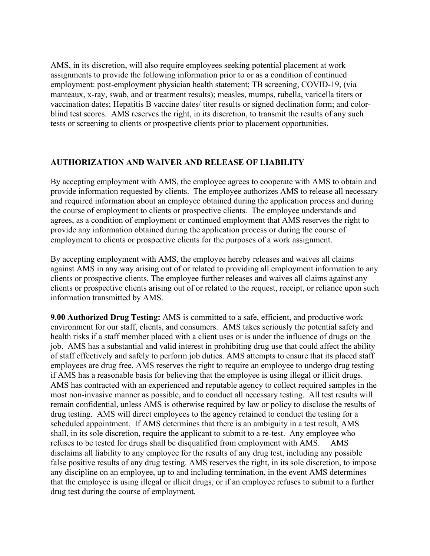AMS, in its discretion, will also require employees seeking potential placement at work assignments to provide the following information prior to or as a condition of continued employment: post-employment physician health statement; TB screening, COVID-19, (via manteaux, x-ray, swab, and or treatment results); measles, mumps, rubella, varicella titers or vaccination dates; Hepatitis B vaccine dates/ titer results or signed declination form; and colorblind test scores. AMS reserves the right, in its discretion, to transmit the results of any such tests or screening to clients or prospective clients prior to placement opportunities.

# **AUTHORIZATION AND WAIVER AND RELEASE OF LIABILITY**

By accepting employment with AMS, the employee agrees to cooperate with AMS to obtain and provide information requested by clients. The employee authorizes AMS to release all necessary and required information about an employee obtained during the application process and during the course of employment to clients or prospective clients. The employee understands and agrees, as a condition of employment or continued employment that AMS reserves the right to provide any information obtained during the application process or during the course of employment to clients or prospective clients for the purposes of a work assignment.

By accepting employment with AMS, the employee hereby releases and waives all claims against AMS in any way arising out of or related to providing all employment information to any clients or prospective clients. The employee further releases and waives all claims against any clients or prospective clients arising out of or related to the request, receipt, or reliance upon such information transmitted by AMS.

**9.00 Authorized Drug Testing:** AMS is committed to a safe, efficient, and productive work environment for our staff, clients, and consumers. AMS takes seriously the potential safety and health risks if a staff member placed with a client uses or is under the influence of drugs on the job. AMS has a substantial and valid interest in prohibiting drug use that could affect the ability of staff effectively and safely to perform job duties. AMS attempts to ensure that its placed staff employees are drug free. AMS reserves the right to require an employee to undergo drug testing if AMS has a reasonable basis for believing that the employee is using illegal or illicit drugs. AMS has contracted with an experienced and reputable agency to collect required samples in the most non-invasive manner as possible, and to conduct all necessary testing. All test results will remain confidential, unless AMS is otherwise required by law or policy to disclose the results of drug testing. AMS will direct employees to the agency retained to conduct the testing for a scheduled appointment. If AMS determines that there is an ambiguity in a test result, AMS shall, in its sole discretion, require the applicant to submit to a re-test. Any employee who refuses to be tested for drugs shall be disqualified from employment with AMS. AMS disclaims all liability to any employee for the results of any drug test, including any possible false positive results of any drug testing. AMS reserves the right, in its sole discretion, to impose any discipline on an employee, up to and including termination, in the event AMS determines that the employee is using illegal or illicit drugs, or if an employee refuses to submit to a further drug test during the course of employment.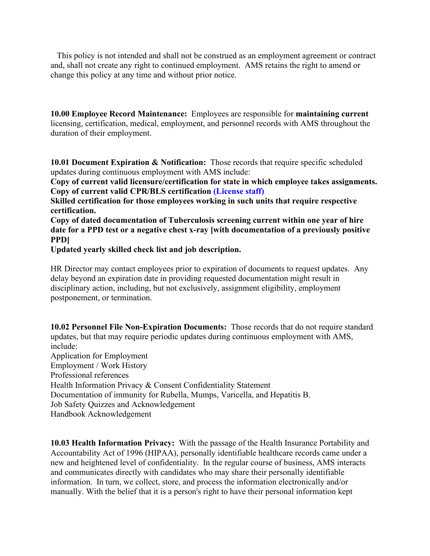This policy is not intended and shall not be construed as an employment agreement or contract and, shall not create any right to continued employment. AMS retains the right to amend or change this policy at any time and without prior notice.

**10.00 Employee Record Maintenance:** Employees are responsible for **maintaining current**  licensing, certification, medical, employment, and personnel records with AMS throughout the duration of their employment.

**10.01 Document Expiration & Notification:** Those records that require specific scheduled updates during continuous employment with AMS include:

**Copy of current valid licensure/certification for state in which employee takes assignments. Copy of current valid CPR/BLS certification (License staff)**

**Skilled certification for those employees working in such units that require respective certification.**

**Copy of dated documentation of Tuberculosis screening current within one year of hire date for a PPD test or a negative chest x-ray [with documentation of a previously positive PPD]**

**Updated yearly skilled check list and job description.**

HR Director may contact employees prior to expiration of documents to request updates. Any delay beyond an expiration date in providing requested documentation might result in disciplinary action, including, but not exclusively, assignment eligibility, employment postponement, or termination.

**10.02 Personnel File Non-Expiration Documents:** Those records that do not require standard updates, but that may require periodic updates during continuous employment with AMS, include: Application for Employment Employment / Work History Professional references Health Information Privacy & Consent Confidentiality Statement Documentation of immunity for Rubella, Mumps, Varicella, and Hepatitis B. Job Safety Quizzes and Acknowledgement Handbook Acknowledgement

**10.03 Health Information Privacy:** With the passage of the Health Insurance Portability and Accountability Act of 1996 (HIPAA), personally identifiable healthcare records came under a new and heightened level of confidentiality. In the regular course of business, AMS interacts and communicates directly with candidates who may share their personally identifiable information. In turn, we collect, store, and process the information electronically and/or manually. With the belief that it is a person's right to have their personal information kept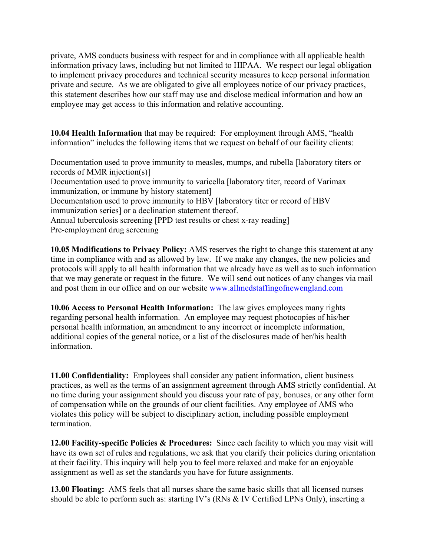private, AMS conducts business with respect for and in compliance with all applicable health information privacy laws, including but not limited to HIPAA. We respect our legal obligation to implement privacy procedures and technical security measures to keep personal information private and secure. As we are obligated to give all employees notice of our privacy practices, this statement describes how our staff may use and disclose medical information and how an employee may get access to this information and relative accounting.

**10.04 Health Information** that may be required: For employment through AMS, "health information" includes the following items that we request on behalf of our facility clients:

Documentation used to prove immunity to measles, mumps, and rubella [laboratory titers or records of MMR injection(s)]

Documentation used to prove immunity to varicella [laboratory titer, record of Varimax immunization, or immune by history statement]

Documentation used to prove immunity to HBV [laboratory titer or record of HBV immunization series] or a declination statement thereof.

Annual tuberculosis screening [PPD test results or chest x-ray reading] Pre-employment drug screening

**10.05 Modifications to Privacy Policy:** AMS reserves the right to change this statement at any time in compliance with and as allowed by law. If we make any changes, the new policies and protocols will apply to all health information that we already have as well as to such information that we may generate or request in the future. We will send out notices of any changes via mail and post them in our office and on our website [www.allmedstaffingofnewengland.com](http://www.allmedstaffingofnewengland.com/)

**10.06 Access to Personal Health Information:** The law gives employees many rights regarding personal health information. An employee may request photocopies of his/her personal health information, an amendment to any incorrect or incomplete information, additional copies of the general notice, or a list of the disclosures made of her/his health information.

**11.00 Confidentiality:** Employees shall consider any patient information, client business practices, as well as the terms of an assignment agreement through AMS strictly confidential. At no time during your assignment should you discuss your rate of pay, bonuses, or any other form of compensation while on the grounds of our client facilities. Any employee of AMS who violates this policy will be subject to disciplinary action, including possible employment termination.

**12.00 Facility-specific Policies & Procedures:** Since each facility to which you may visit will have its own set of rules and regulations, we ask that you clarify their policies during orientation at their facility. This inquiry will help you to feel more relaxed and make for an enjoyable assignment as well as set the standards you have for future assignments.

**13.00 Floating:** AMS feels that all nurses share the same basic skills that all licensed nurses should be able to perform such as: starting IV's (RNs & IV Certified LPNs Only), inserting a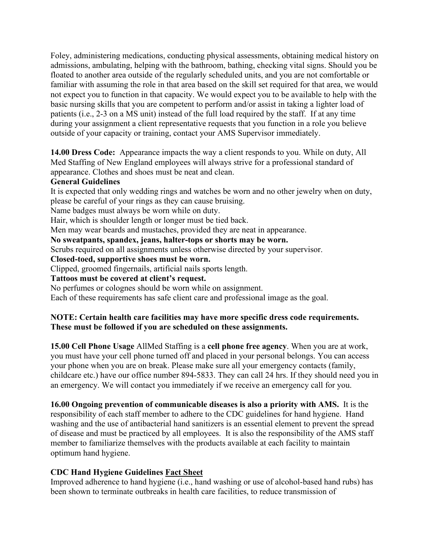Foley, administering medications, conducting physical assessments, obtaining medical history on admissions, ambulating, helping with the bathroom, bathing, checking vital signs. Should you be floated to another area outside of the regularly scheduled units, and you are not comfortable or familiar with assuming the role in that area based on the skill set required for that area, we would not expect you to function in that capacity. We would expect you to be available to help with the basic nursing skills that you are competent to perform and/or assist in taking a lighter load of patients (i.e., 2-3 on a MS unit) instead of the full load required by the staff. If at any time during your assignment a client representative requests that you function in a role you believe outside of your capacity or training, contact your AMS Supervisor immediately.

**14.00 Dress Code:** Appearance impacts the way a client responds to you. While on duty, All Med Staffing of New England employees will always strive for a professional standard of appearance. Clothes and shoes must be neat and clean.

# **General Guidelines**

It is expected that only wedding rings and watches be worn and no other jewelry when on duty, please be careful of your rings as they can cause bruising.

Name badges must always be worn while on duty.

Hair, which is shoulder length or longer must be tied back.

Men may wear beards and mustaches, provided they are neat in appearance.

**No sweatpants, spandex, jeans, halter-tops or shorts may be worn.** 

Scrubs required on all assignments unless otherwise directed by your supervisor.

# **Closed-toed, supportive shoes must be worn.**

Clipped, groomed fingernails, artificial nails sports length.

#### **Tattoos must be covered at client's request.**

No perfumes or colognes should be worn while on assignment.

Each of these requirements has safe client care and professional image as the goal.

# **NOTE: Certain health care facilities may have more specific dress code requirements. These must be followed if you are scheduled on these assignments.**

**15.00 Cell Phone Usage** AllMed Staffing is a **cell phone free agency**. When you are at work, you must have your cell phone turned off and placed in your personal belongs. You can access your phone when you are on break. Please make sure all your emergency contacts (family, childcare etc.) have our office number 894-5833. They can call 24 hrs. If they should need you in an emergency. We will contact you immediately if we receive an emergency call for you.

**16.00 Ongoing prevention of communicable diseases is also a priority with AMS.** It is the responsibility of each staff member to adhere to the CDC guidelines for hand hygiene. Hand washing and the use of antibacterial hand sanitizers is an essential element to prevent the spread of disease and must be practiced by all employees. It is also the responsibility of the AMS staff member to familiarize themselves with the products available at each facility to maintain optimum hand hygiene.

# **CDC Hand Hygiene Guidelines Fact Sheet**

Improved adherence to hand hygiene (i.e., hand washing or use of alcohol-based hand rubs) has been shown to terminate outbreaks in health care facilities, to reduce transmission of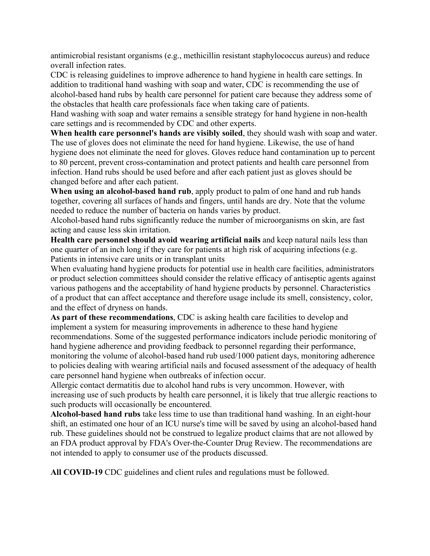antimicrobial resistant organisms (e.g., methicillin resistant staphylococcus aureus) and reduce overall infection rates.

CDC is releasing guidelines to improve adherence to hand hygiene in health care settings. In addition to traditional hand washing with soap and water, CDC is recommending the use of alcohol-based hand rubs by health care personnel for patient care because they address some of the obstacles that health care professionals face when taking care of patients.

Hand washing with soap and water remains a sensible strategy for hand hygiene in non-health care settings and is recommended by CDC and other experts.

**When health care personnel's hands are visibly soiled**, they should wash with soap and water. The use of gloves does not eliminate the need for hand hygiene. Likewise, the use of hand hygiene does not eliminate the need for gloves. Gloves reduce hand contamination up to percent to 80 percent, prevent cross-contamination and protect patients and health care personnel from infection. Hand rubs should be used before and after each patient just as gloves should be changed before and after each patient.

**When using an alcohol-based hand rub**, apply product to palm of one hand and rub hands together, covering all surfaces of hands and fingers, until hands are dry. Note that the volume needed to reduce the number of bacteria on hands varies by product.

Alcohol-based hand rubs significantly reduce the number of microorganisms on skin, are fast acting and cause less skin irritation.

**Health care personnel should avoid wearing artificial nails** and keep natural nails less than one quarter of an inch long if they care for patients at high risk of acquiring infections (e.g. Patients in intensive care units or in transplant units

When evaluating hand hygiene products for potential use in health care facilities, administrators or product selection committees should consider the relative efficacy of antiseptic agents against various pathogens and the acceptability of hand hygiene products by personnel. Characteristics of a product that can affect acceptance and therefore usage include its smell, consistency, color, and the effect of dryness on hands.

**As part of these recommendations**, CDC is asking health care facilities to develop and implement a system for measuring improvements in adherence to these hand hygiene recommendations. Some of the suggested performance indicators include periodic monitoring of hand hygiene adherence and providing feedback to personnel regarding their performance, monitoring the volume of alcohol-based hand rub used/1000 patient days, monitoring adherence to policies dealing with wearing artificial nails and focused assessment of the adequacy of health care personnel hand hygiene when outbreaks of infection occur.

Allergic contact dermatitis due to alcohol hand rubs is very uncommon. However, with increasing use of such products by health care personnel, it is likely that true allergic reactions to such products will occasionally be encountered.

**Alcohol-based hand rubs** take less time to use than traditional hand washing. In an eight-hour shift, an estimated one hour of an ICU nurse's time will be saved by using an alcohol-based hand rub. These guidelines should not be construed to legalize product claims that are not allowed by an FDA product approval by FDA's Over-the-Counter Drug Review. The recommendations are not intended to apply to consumer use of the products discussed.

**All COVID-19** CDC guidelines and client rules and regulations must be followed.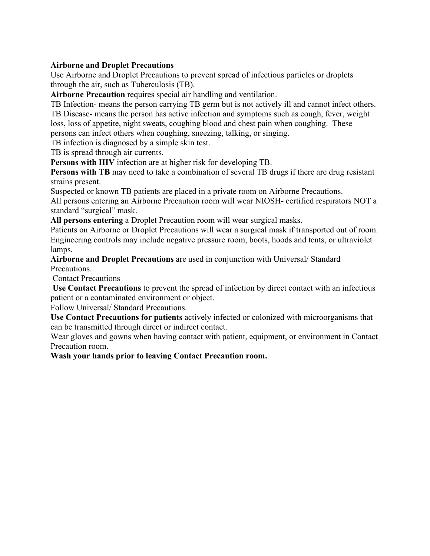# **Airborne and Droplet Precautions**

Use Airborne and Droplet Precautions to prevent spread of infectious particles or droplets through the air, such as Tuberculosis (TB).

**Airborne Precaution** requires special air handling and ventilation.

TB Infection- means the person carrying TB germ but is not actively ill and cannot infect others. TB Disease- means the person has active infection and symptoms such as cough, fever, weight

loss, loss of appetite, night sweats, coughing blood and chest pain when coughing. These persons can infect others when coughing, sneezing, talking, or singing.

TB infection is diagnosed by a simple skin test.

TB is spread through air currents.

**Persons with HIV** infection are at higher risk for developing TB.

**Persons with TB** may need to take a combination of several TB drugs if there are drug resistant strains present.

Suspected or known TB patients are placed in a private room on Airborne Precautions.

All persons entering an Airborne Precaution room will wear NIOSH- certified respirators NOT a standard "surgical" mask.

**All persons entering** a Droplet Precaution room will wear surgical masks.

Patients on Airborne or Droplet Precautions will wear a surgical mask if transported out of room. Engineering controls may include negative pressure room, boots, hoods and tents, or ultraviolet lamps.

**Airborne and Droplet Precautions** are used in conjunction with Universal/ Standard Precautions.

Contact Precautions

**Use Contact Precautions** to prevent the spread of infection by direct contact with an infectious patient or a contaminated environment or object.

Follow Universal/ Standard Precautions.

**Use Contact Precautions for patients** actively infected or colonized with microorganisms that can be transmitted through direct or indirect contact.

Wear gloves and gowns when having contact with patient, equipment, or environment in Contact Precaution room.

**Wash your hands prior to leaving Contact Precaution room.**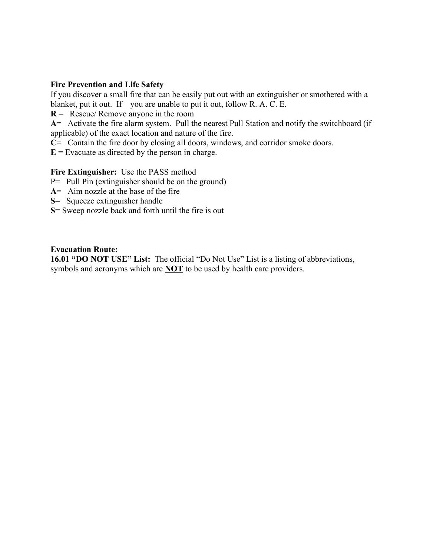#### **Fire Prevention and Life Safety**

If you discover a small fire that can be easily put out with an extinguisher or smothered with a blanket, put it out. If you are unable to put it out, follow R. A. C. E.

 $R =$  Rescue/ Remove anyone in the room

**A**= Activate the fire alarm system. Pull the nearest Pull Station and notify the switchboard (if applicable) of the exact location and nature of the fire.

**C**= Contain the fire door by closing all doors, windows, and corridor smoke doors.

 $E =$  Evacuate as directed by the person in charge.

# **Fire Extinguisher:** Use the PASS method

P= Pull Pin (extinguisher should be on the ground)

- **A**= Aim nozzle at the base of the fire
- **S**= Squeeze extinguisher handle
- **S**= Sweep nozzle back and forth until the fire is out

#### **Evacuation Route:**

**16.01 "DO NOT USE" List:** The official "Do Not Use" List is a listing of abbreviations, symbols and acronyms which are **NOT** to be used by health care providers.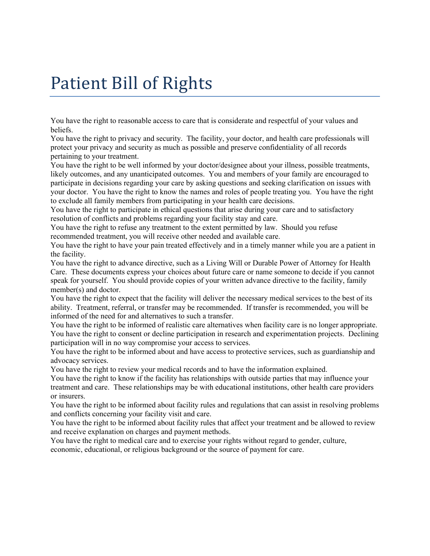# Patient Bill of Rights

You have the right to reasonable access to care that is considerate and respectful of your values and beliefs.

You have the right to privacy and security. The facility, your doctor, and health care professionals will protect your privacy and security as much as possible and preserve confidentiality of all records pertaining to your treatment.

You have the right to be well informed by your doctor/designee about your illness, possible treatments, likely outcomes, and any unanticipated outcomes. You and members of your family are encouraged to participate in decisions regarding your care by asking questions and seeking clarification on issues with your doctor. You have the right to know the names and roles of people treating you. You have the right to exclude all family members from participating in your health care decisions.

You have the right to participate in ethical questions that arise during your care and to satisfactory resolution of conflicts and problems regarding your facility stay and care.

You have the right to refuse any treatment to the extent permitted by law. Should you refuse recommended treatment, you will receive other needed and available care.

You have the right to have your pain treated effectively and in a timely manner while you are a patient in the facility.

You have the right to advance directive, such as a Living Will or Durable Power of Attorney for Health Care. These documents express your choices about future care or name someone to decide if you cannot speak for yourself. You should provide copies of your written advance directive to the facility, family member(s) and doctor.

You have the right to expect that the facility will deliver the necessary medical services to the best of its ability. Treatment, referral, or transfer may be recommended. If transfer is recommended, you will be informed of the need for and alternatives to such a transfer.

You have the right to be informed of realistic care alternatives when facility care is no longer appropriate. You have the right to consent or decline participation in research and experimentation projects. Declining participation will in no way compromise your access to services.

You have the right to be informed about and have access to protective services, such as guardianship and advocacy services.

You have the right to review your medical records and to have the information explained.

You have the right to know if the facility has relationships with outside parties that may influence your treatment and care. These relationships may be with educational institutions, other health care providers or insurers.

You have the right to be informed about facility rules and regulations that can assist in resolving problems and conflicts concerning your facility visit and care.

You have the right to be informed about facility rules that affect your treatment and be allowed to review and receive explanation on charges and payment methods.

You have the right to medical care and to exercise your rights without regard to gender, culture, economic, educational, or religious background or the source of payment for care.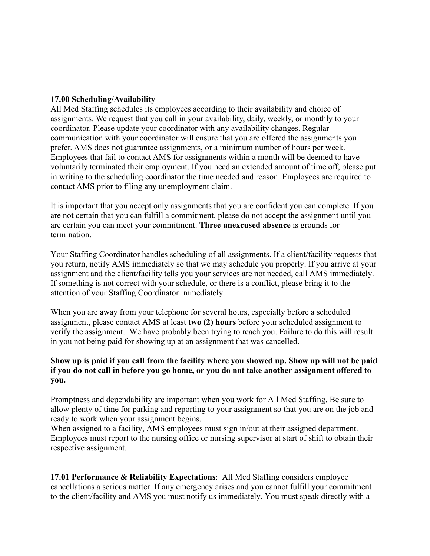# **17.00 Scheduling/Availability**

All Med Staffing schedules its employees according to their availability and choice of assignments. We request that you call in your availability, daily, weekly, or monthly to your coordinator. Please update your coordinator with any availability changes. Regular communication with your coordinator will ensure that you are offered the assignments you prefer. AMS does not guarantee assignments, or a minimum number of hours per week. Employees that fail to contact AMS for assignments within a month will be deemed to have voluntarily terminated their employment. If you need an extended amount of time off, please put in writing to the scheduling coordinator the time needed and reason. Employees are required to contact AMS prior to filing any unemployment claim.

It is important that you accept only assignments that you are confident you can complete. If you are not certain that you can fulfill a commitment, please do not accept the assignment until you are certain you can meet your commitment. **Three unexcused absence** is grounds for termination.

Your Staffing Coordinator handles scheduling of all assignments. If a client/facility requests that you return, notify AMS immediately so that we may schedule you properly. If you arrive at your assignment and the client/facility tells you your services are not needed, call AMS immediately. If something is not correct with your schedule, or there is a conflict, please bring it to the attention of your Staffing Coordinator immediately.

When you are away from your telephone for several hours, especially before a scheduled assignment, please contact AMS at least **two (2) hours** before your scheduled assignment to verify the assignment. We have probably been trying to reach you. Failure to do this will result in you not being paid for showing up at an assignment that was cancelled.

# **Show up is paid if you call from the facility where you showed up. Show up will not be paid if you do not call in before you go home, or you do not take another assignment offered to you.**

Promptness and dependability are important when you work for All Med Staffing. Be sure to allow plenty of time for parking and reporting to your assignment so that you are on the job and ready to work when your assignment begins.

When assigned to a facility, AMS employees must sign in/out at their assigned department. Employees must report to the nursing office or nursing supervisor at start of shift to obtain their respective assignment.

**17.01 Performance & Reliability Expectations**: All Med Staffing considers employee cancellations a serious matter. If any emergency arises and you cannot fulfill your commitment to the client/facility and AMS you must notify us immediately. You must speak directly with a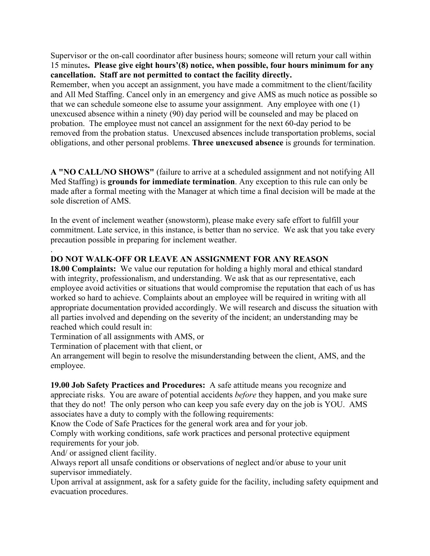Supervisor or the on-call coordinator after business hours; someone will return your call within 15 minutes**. Please give eight hours'(8) notice, when possible, four hours minimum for any cancellation. Staff are not permitted to contact the facility directly.**

Remember, when you accept an assignment, you have made a commitment to the client/facility and All Med Staffing. Cancel only in an emergency and give AMS as much notice as possible so that we can schedule someone else to assume your assignment. Any employee with one (1) unexcused absence within a ninety (90) day period will be counseled and may be placed on probation. The employee must not cancel an assignment for the next 60-day period to be removed from the probation status. Unexcused absences include transportation problems, social obligations, and other personal problems. **Three unexcused absence** is grounds for termination.

**A "NO CALL/NO SHOWS"** (failure to arrive at a scheduled assignment and not notifying All Med Staffing) is **grounds for immediate termination**. Any exception to this rule can only be made after a formal meeting with the Manager at which time a final decision will be made at the sole discretion of AMS.

In the event of inclement weather (snowstorm), please make every safe effort to fulfill your commitment. Late service, in this instance, is better than no service. We ask that you take every precaution possible in preparing for inclement weather.

#### . **DO NOT WALK-OFF OR LEAVE AN ASSIGNMENT FOR ANY REASON**

**18.00 Complaints:** We value our reputation for holding a highly moral and ethical standard with integrity, professionalism, and understanding. We ask that as our representative, each employee avoid activities or situations that would compromise the reputation that each of us has worked so hard to achieve. Complaints about an employee will be required in writing with all appropriate documentation provided accordingly. We will research and discuss the situation with all parties involved and depending on the severity of the incident; an understanding may be reached which could result in:

Termination of all assignments with AMS, or

Termination of placement with that client, or

An arrangement will begin to resolve the misunderstanding between the client, AMS, and the employee.

**19.00 Job Safety Practices and Procedures:** A safe attitude means you recognize and appreciate risks. You are aware of potential accidents *before* they happen, and you make sure that they do not! The only person who can keep you safe every day on the job is YOU. AMS associates have a duty to comply with the following requirements:

Know the Code of Safe Practices for the general work area and for your job.

Comply with working conditions, safe work practices and personal protective equipment requirements for your job.

And/ or assigned client facility.

Always report all unsafe conditions or observations of neglect and/or abuse to your unit supervisor immediately.

Upon arrival at assignment, ask for a safety guide for the facility, including safety equipment and evacuation procedures.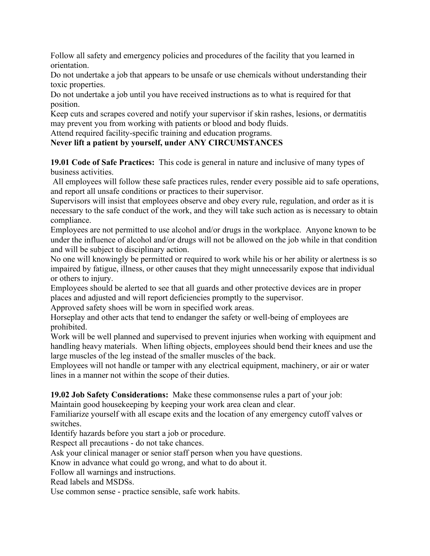Follow all safety and emergency policies and procedures of the facility that you learned in orientation.

Do not undertake a job that appears to be unsafe or use chemicals without understanding their toxic properties.

Do not undertake a job until you have received instructions as to what is required for that position.

Keep cuts and scrapes covered and notify your supervisor if skin rashes, lesions, or dermatitis may prevent you from working with patients or blood and body fluids.

Attend required facility-specific training and education programs.

# **Never lift a patient by yourself, under ANY CIRCUMSTANCES**

**19.01 Code of Safe Practices:** This code is general in nature and inclusive of many types of business activities.

All employees will follow these safe practices rules, render every possible aid to safe operations, and report all unsafe conditions or practices to their supervisor.

Supervisors will insist that employees observe and obey every rule, regulation, and order as it is necessary to the safe conduct of the work, and they will take such action as is necessary to obtain compliance.

Employees are not permitted to use alcohol and/or drugs in the workplace. Anyone known to be under the influence of alcohol and/or drugs will not be allowed on the job while in that condition and will be subject to disciplinary action.

No one will knowingly be permitted or required to work while his or her ability or alertness is so impaired by fatigue, illness, or other causes that they might unnecessarily expose that individual or others to injury.

Employees should be alerted to see that all guards and other protective devices are in proper places and adjusted and will report deficiencies promptly to the supervisor.

Approved safety shoes will be worn in specified work areas.

Horseplay and other acts that tend to endanger the safety or well-being of employees are prohibited.

Work will be well planned and supervised to prevent injuries when working with equipment and handling heavy materials. When lifting objects, employees should bend their knees and use the large muscles of the leg instead of the smaller muscles of the back.

Employees will not handle or tamper with any electrical equipment, machinery, or air or water lines in a manner not within the scope of their duties.

**19.02 Job Safety Considerations:** Make these commonsense rules a part of your job:

Maintain good housekeeping by keeping your work area clean and clear.

Familiarize yourself with all escape exits and the location of any emergency cutoff valves or switches.

Identify hazards before you start a job or procedure.

Respect all precautions - do not take chances.

Ask your clinical manager or senior staff person when you have questions.

Know in advance what could go wrong, and what to do about it.

Follow all warnings and instructions.

Read labels and MSDSs.

Use common sense - practice sensible, safe work habits.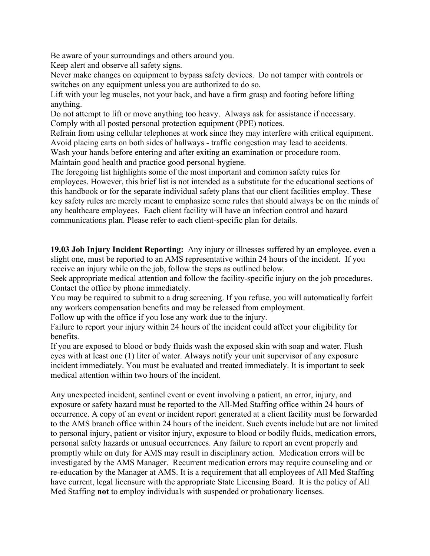Be aware of your surroundings and others around you.

Keep alert and observe all safety signs.

Never make changes on equipment to bypass safety devices. Do not tamper with controls or switches on any equipment unless you are authorized to do so.

Lift with your leg muscles, not your back, and have a firm grasp and footing before lifting anything.

Do not attempt to lift or move anything too heavy. Always ask for assistance if necessary. Comply with all posted personal protection equipment (PPE) notices.

Refrain from using cellular telephones at work since they may interfere with critical equipment. Avoid placing carts on both sides of hallways - traffic congestion may lead to accidents.

Wash your hands before entering and after exiting an examination or procedure room. Maintain good health and practice good personal hygiene.

The foregoing list highlights some of the most important and common safety rules for employees. However, this brief list is not intended as a substitute for the educational sections of this handbook or for the separate individual safety plans that our client facilities employ. These key safety rules are merely meant to emphasize some rules that should always be on the minds of any healthcare employees. Each client facility will have an infection control and hazard communications plan. Please refer to each client-specific plan for details.

**19.03 Job Injury Incident Reporting:** Any injury or illnesses suffered by an employee, even a slight one, must be reported to an AMS representative within 24 hours of the incident. If you receive an injury while on the job, follow the steps as outlined below.

Seek appropriate medical attention and follow the facility-specific injury on the job procedures. Contact the office by phone immediately.

You may be required to submit to a drug screening. If you refuse, you will automatically forfeit any workers compensation benefits and may be released from employment.

Follow up with the office if you lose any work due to the injury.

Failure to report your injury within 24 hours of the incident could affect your eligibility for benefits.

If you are exposed to blood or body fluids wash the exposed skin with soap and water. Flush eyes with at least one (1) liter of water. Always notify your unit supervisor of any exposure incident immediately. You must be evaluated and treated immediately. It is important to seek medical attention within two hours of the incident.

Any unexpected incident, sentinel event or event involving a patient, an error, injury, and exposure or safety hazard must be reported to the All-Med Staffing office within 24 hours of occurrence. A copy of an event or incident report generated at a client facility must be forwarded to the AMS branch office within 24 hours of the incident. Such events include but are not limited to personal injury, patient or visitor injury, exposure to blood or bodily fluids, medication errors, personal safety hazards or unusual occurrences. Any failure to report an event properly and promptly while on duty for AMS may result in disciplinary action. Medication errors will be investigated by the AMS Manager. Recurrent medication errors may require counseling and or re-education by the Manager at AMS. It is a requirement that all employees of All Med Staffing have current, legal licensure with the appropriate State Licensing Board. It is the policy of All Med Staffing **not** to employ individuals with suspended or probationary licenses.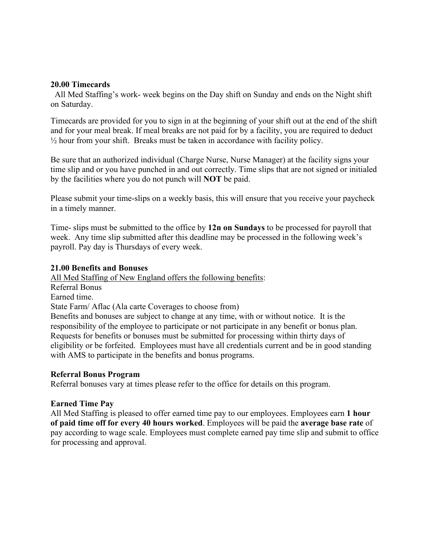#### **20.00 Timecards**

 All Med Staffing's work- week begins on the Day shift on Sunday and ends on the Night shift on Saturday.

Timecards are provided for you to sign in at the beginning of your shift out at the end of the shift and for your meal break. If meal breaks are not paid for by a facility, you are required to deduct ½ hour from your shift. Breaks must be taken in accordance with facility policy.

Be sure that an authorized individual (Charge Nurse, Nurse Manager) at the facility signs your time slip and or you have punched in and out correctly. Time slips that are not signed or initialed by the facilities where you do not punch will **NOT** be paid.

Please submit your time-slips on a weekly basis, this will ensure that you receive your paycheck in a timely manner.

Time- slips must be submitted to the office by **12n on Sundays** to be processed for payroll that week. Any time slip submitted after this deadline may be processed in the following week's payroll. Pay day is Thursdays of every week.

#### **21.00 Benefits and Bonuses**

All Med Staffing of New England offers the following benefits: Referral Bonus Earned time. State Farm/ Aflac (Ala carte Coverages to choose from) Benefits and bonuses are subject to change at any time, with or without notice. It is the responsibility of the employee to participate or not participate in any benefit or bonus plan. Requests for benefits or bonuses must be submitted for processing within thirty days of eligibility or be forfeited. Employees must have all credentials current and be in good standing with AMS to participate in the benefits and bonus programs.

#### **Referral Bonus Program**

Referral bonuses vary at times please refer to the office for details on this program.

#### **Earned Time Pay**

All Med Staffing is pleased to offer earned time pay to our employees. Employees earn **1 hour of paid time off for every 40 hours worked**. Employees will be paid the **average base rate** of pay according to wage scale. Employees must complete earned pay time slip and submit to office for processing and approval.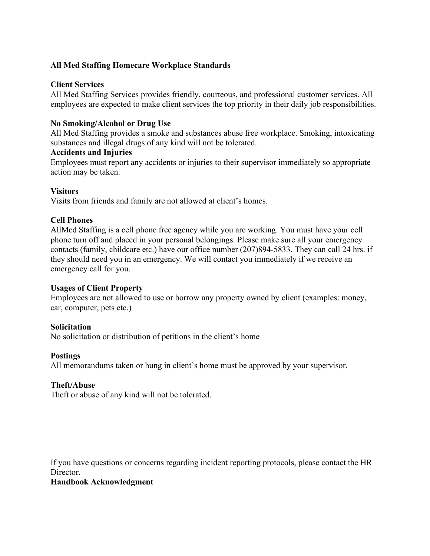# **All Med Staffing Homecare Workplace Standards**

# **Client Services**

All Med Staffing Services provides friendly, courteous, and professional customer services. All employees are expected to make client services the top priority in their daily job responsibilities.

# **No Smoking/Alcohol or Drug Use**

All Med Staffing provides a smoke and substances abuse free workplace. Smoking, intoxicating substances and illegal drugs of any kind will not be tolerated.

# **Accidents and Injuries**

Employees must report any accidents or injuries to their supervisor immediately so appropriate action may be taken.

# **Visitors**

Visits from friends and family are not allowed at client's homes.

# **Cell Phones**

AllMed Staffing is a cell phone free agency while you are working. You must have your cell phone turn off and placed in your personal belongings. Please make sure all your emergency contacts (family, childcare etc.) have our office number (207)894-5833. They can call 24 hrs. if they should need you in an emergency. We will contact you immediately if we receive an emergency call for you.

# **Usages of Client Property**

Employees are not allowed to use or borrow any property owned by client (examples: money, car, computer, pets etc.)

#### **Solicitation**

No solicitation or distribution of petitions in the client's home

#### **Postings**

All memorandums taken or hung in client's home must be approved by your supervisor.

#### **Theft/Abuse**

Theft or abuse of any kind will not be tolerated.

If you have questions or concerns regarding incident reporting protocols, please contact the HR Director.

**Handbook Acknowledgment**